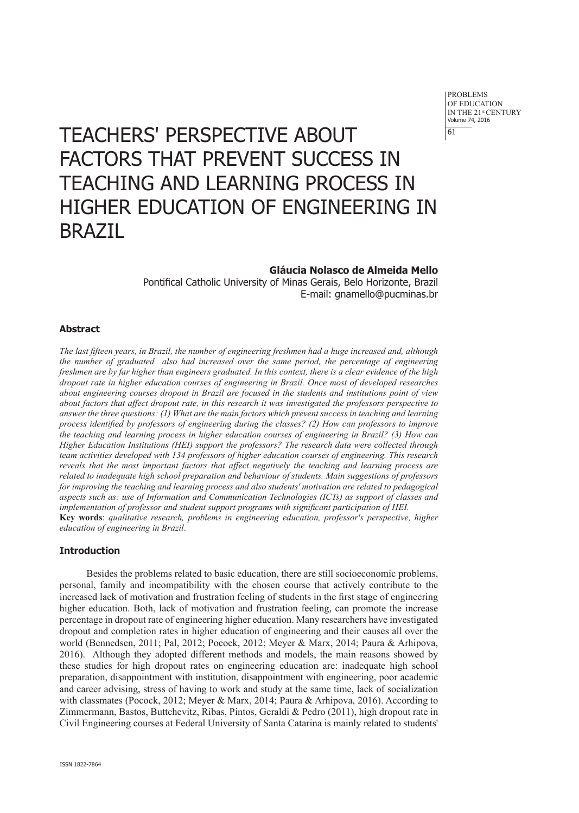PROBLEMS OF EDUCATION IN THE 21st CENTURY Volume 74, 2016 61

# TEACHERS' PERSPECTIVE ABOUT FACTORS THAT PREVENT SUCCESS IN TEACHING AND LEARNING PROCESS IN HIGHER EDUCATION OF ENGINEERING IN BRAZIL

# **Gláucia Nolasco de Almeida Mello**

Pontifical Catholic University of Minas Gerais, Belo Horizonte, Brazil E-mail: gnamello@pucminas.br

# **Abstract**

*The last fifteen years, in Brazil, the number of engineering freshmen had a huge increased and, although the number of graduated also had increased over the same period, the percentage of engineering freshmen are by far higher than engineers graduated. In this context, there is a clear evidence of the high dropout rate in higher education courses of engineering in Brazil. Once most of developed researches about engineering courses dropout in Brazil are focused in the students and institutions point of view about factors that affect dropout rate, in this research it was investigated the professors perspective to answer the three questions: (1) What are the main factors which prevent success in teaching and learning process identified by professors of engineering during the classes? (2) How can professors to improve the teaching and learning process in higher education courses of engineering in Brazil? (3) How can Higher Education Institutions (HEI) support the professors? The research data were collected through team activities developed with 134 professors of higher education courses of engineering. This research reveals that the most important factors that affect negatively the teaching and learning process are related to inadequate high school preparation and behaviour of students. Main suggestions of professors for improving the teaching and learning process and also students' motivation are related to pedagogical aspects such as: use of Information and Communication Technologies (ICTs) as support of classes and implementation of professor and student support programs with significant participation of HEI.*  **Key words**: *qualitative research, problems in engineering education, professor's perspective, higher education of engineering in Brazil*.

# **Introduction**

Besides the problems related to basic education, there are still socioeconomic problems, personal, family and incompatibility with the chosen course that actively contribute to the increased lack of motivation and frustration feeling of students in the first stage of engineering higher education. Both, lack of motivation and frustration feeling, can promote the increase percentage in dropout rate of engineering higher education. Many researchers have investigated dropout and completion rates in higher education of engineering and their causes all over the world (Bennedsen, 2011; Pal, 2012; Pocock, 2012; Meyer & Marx, 2014; Paura & Arhipova, 2016). Although they adopted different methods and models, the main reasons showed by these studies for high dropout rates on engineering education are: inadequate high school preparation, disappointment with institution, disappointment with engineering, poor academic and career advising, stress of having to work and study at the same time, lack of socialization with classmates (Pocock, 2012; Meyer & Marx, 2014; Paura & Arhipova, 2016). According to Zimmermann, Bastos, Buttchevitz, Ribas, Pintos, Geraldi & Pedro (2011), high dropout rate in Civil Engineering courses at Federal University of Santa Catarina is mainly related to students'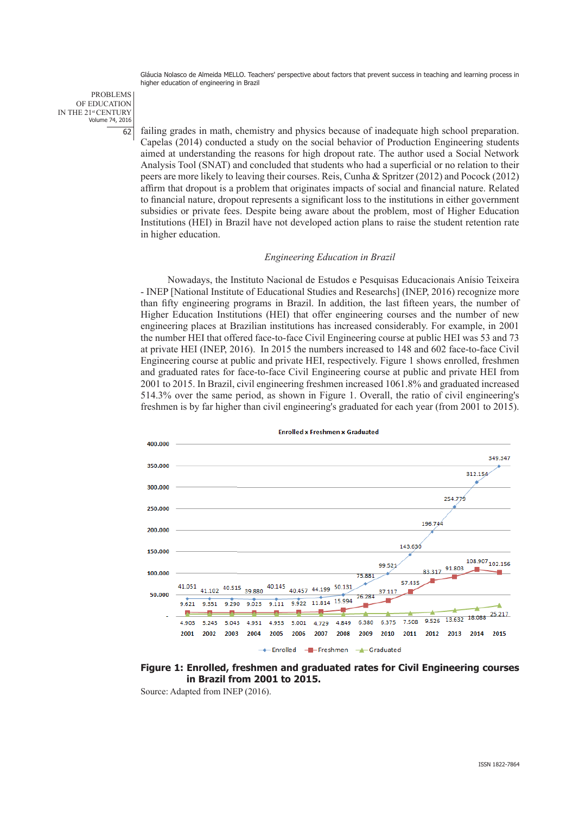PROBLEMS OF EDUCATION IN THE 21<sup>st</sup> CENTURY<br>Volume 74, 2016 62

failing grades in math, chemistry and physics because of inadequate high school preparation. Capelas (2014) conducted a study on the social behavior of Production Engineering students aimed at understanding the reasons for high dropout rate. The author used a Social Network Analysis Tool (SNAT) and concluded that students who had a superficial or no relation to their peers are more likely to leaving their courses. Reis, Cunha & Spritzer (2012) and Pocock (2012) affirm that dropout is a problem that originates impacts of social and financial nature. Related to financial nature, dropout represents a significant loss to the institutions in either government subsidies or private fees. Despite being aware about the problem, most of Higher Education Institutions (HEI) in Brazil have not developed action plans to raise the student retention rate in higher education.

# *Engineering Education in Brazil*

Nowadays, the Instituto Nacional de Estudos e Pesquisas Educacionais Anísio Teixeira - INEP [National Institute of Educational Studies and Researchs] (INEP, 2016) recognize more than fifty engineering programs in Brazil. In addition, the last fifteen years, the number of Higher Education Institutions (HEI) that offer engineering courses and the number of new engineering places at Brazilian institutions has increased considerably. For example, in 2001 the number HEI that offered face-to-face Civil Engineering course at public HEI was 53 and 73 at private HEI (INEP, 2016). In 2015 the numbers increased to 148 and 602 face-to-face Civil Engineering course at public and private HEI, respectively. Figure 1 shows enrolled, freshmen and graduated rates for face-to-face Civil Engineering course at public and private HEI from 2001 to 2015. In Brazil, civil engineering freshmen increased 1061.8% and graduated increased 514.3% over the same period, as shown in Figure 1. Overall, the ratio of civil engineering's freshmen is by far higher than civil engineering's graduated for each year (from 2001 to 2015).



#### **Enrolled x Freshmen x Graduated**

**Figure 1: Enrolled, freshmen and graduated rates for Civil Engineering courses in Brazil from 2001 to 2015.**

Source: Adapted from INEP (2016).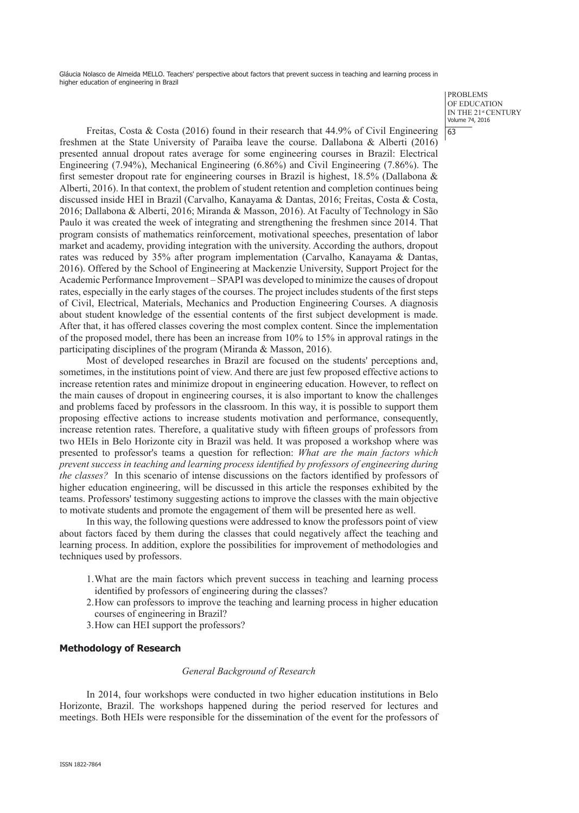> PROBLEMS OF EDUCATION IN THE 21st CENTURY Volume 74, 2016 63

Freitas, Costa & Costa (2016) found in their research that 44.9% of Civil Engineering freshmen at the State University of Paraiba leave the course. Dallabona & Alberti (2016) presented annual dropout rates average for some engineering courses in Brazil: Electrical Engineering (7.94%), Mechanical Engineering (6.86%) and Civil Engineering (7.86%). The first semester dropout rate for engineering courses in Brazil is highest, 18.5% (Dallabona & Alberti, 2016). In that context, the problem of student retention and completion continues being discussed inside HEI in Brazil (Carvalho, Kanayama & Dantas, 2016; Freitas, Costa & Costa, 2016; Dallabona & Alberti, 2016; Miranda & Masson, 2016). At Faculty of Technology in São Paulo it was created the week of integrating and strengthening the freshmen since 2014. That program consists of mathematics reinforcement, motivational speeches, presentation of labor market and academy, providing integration with the university. According the authors, dropout rates was reduced by 35% after program implementation (Carvalho, Kanayama & Dantas, 2016). Offered by the School of Engineering at Mackenzie University, Support Project for the Academic Performance Improvement – SPAPI was developed to minimize the causes of dropout rates, especially in the early stages of the courses. The project includes students of the first steps of Civil, Electrical, Materials, Mechanics and Production Engineering Courses. A diagnosis about student knowledge of the essential contents of the first subject development is made. After that, it has offered classes covering the most complex content. Since the implementation of the proposed model, there has been an increase from 10% to 15% in approval ratings in the participating disciplines of the program (Miranda & Masson, 2016).

Most of developed researches in Brazil are focused on the students' perceptions and, sometimes, in the institutions point of view. And there are just few proposed effective actions to increase retention rates and minimize dropout in engineering education. However, to reflect on the main causes of dropout in engineering courses, it is also important to know the challenges and problems faced by professors in the classroom. In this way, it is possible to support them proposing effective actions to increase students motivation and performance, consequently, increase retention rates. Therefore, a qualitative study with fifteen groups of professors from two HEIs in Belo Horizonte city in Brazil was held. It was proposed a workshop where was presented to professor's teams a question for reflection: *What are the main factors which prevent success in teaching and learning process identified by professors of engineering during the classes?* In this scenario of intense discussions on the factors identified by professors of higher education engineering, will be discussed in this article the responses exhibited by the teams. Professors' testimony suggesting actions to improve the classes with the main objective to motivate students and promote the engagement of them will be presented here as well.

In this way, the following questions were addressed to know the professors point of view about factors faced by them during the classes that could negatively affect the teaching and learning process. In addition, explore the possibilities for improvement of methodologies and techniques used by professors.

- 1.What are the main factors which prevent success in teaching and learning process identified by professors of engineering during the classes?
- 2.How can professors to improve the teaching and learning process in higher education courses of engineering in Brazil?
- 3.How can HEI support the professors?

# **Methodology of Research**

#### *General Background of Research*

In 2014, four workshops were conducted in two higher education institutions in Belo Horizonte, Brazil. The workshops happened during the period reserved for lectures and meetings. Both HEIs were responsible for the dissemination of the event for the professors of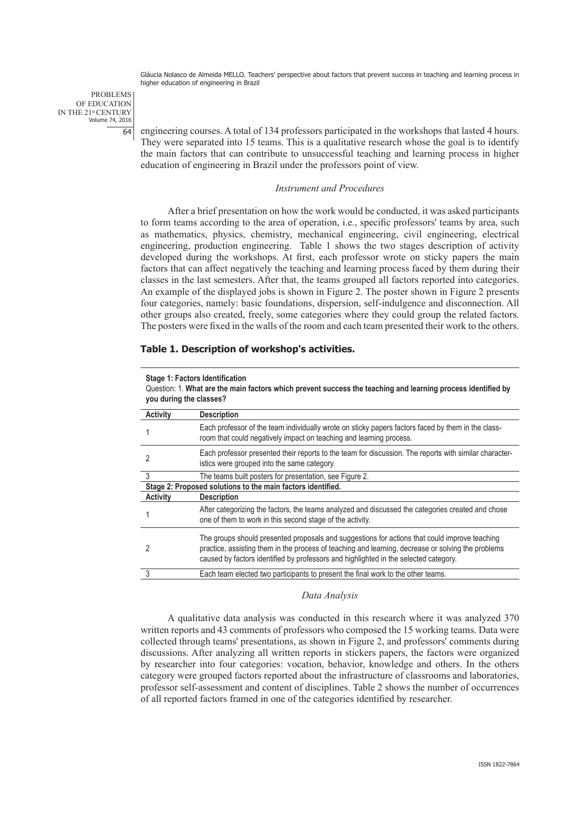PROBLEMS OF EDUCATION IN THE 21<sup>st</sup> CENTURY<br>Volume 74, 2016 64

engineering courses. A total of 134 professors participated in the workshops that lasted 4 hours. They were separated into 15 teams. This is a qualitative research whose the goal is to identify the main factors that can contribute to unsuccessful teaching and learning process in higher education of engineering in Brazil under the professors point of view.

# *Instrument and Procedures*

After a brief presentation on how the work would be conducted, it was asked participants to form teams according to the area of operation, i.e., specific professors' teams by area, such as mathematics, physics, chemistry, mechanical engineering, civil engineering, electrical engineering, production engineering. Table 1 shows the two stages description of activity developed during the workshops. At first, each professor wrote on sticky papers the main factors that can affect negatively the teaching and learning process faced by them during their classes in the last semesters. After that, the teams grouped all factors reported into categories. An example of the displayed jobs is shown in Figure 2. The poster shown in Figure 2 presents four categories, namely: basic foundations, dispersion, self-indulgence and disconnection. All other groups also created, freely, some categories where they could group the related factors. The posters were fixed in the walls of the room and each team presented their work to the others.

# **Table 1. Description of workshop's activities.**

#### **Stage 1: Factors Identification**

Question: 1. **What are the main factors which prevent success the teaching and learning process identified by you during the classes?**

| voa aarnig tiid oldooco i                                   |                                                                                                                                                                                                                                                                                             |  |  |  |
|-------------------------------------------------------------|---------------------------------------------------------------------------------------------------------------------------------------------------------------------------------------------------------------------------------------------------------------------------------------------|--|--|--|
| Activity                                                    | <b>Description</b>                                                                                                                                                                                                                                                                          |  |  |  |
|                                                             | Each professor of the team individually wrote on sticky papers factors faced by them in the class-<br>room that could negatively impact on teaching and learning process.                                                                                                                   |  |  |  |
|                                                             | Each professor presented their reports to the team for discussion. The reports with similar character-<br>istics were grouped into the same category.                                                                                                                                       |  |  |  |
| 3                                                           | The teams built posters for presentation, see Figure 2.                                                                                                                                                                                                                                     |  |  |  |
| Stage 2: Proposed solutions to the main factors identified. |                                                                                                                                                                                                                                                                                             |  |  |  |
| Activity                                                    | <b>Description</b>                                                                                                                                                                                                                                                                          |  |  |  |
|                                                             | After categorizing the factors, the teams analyzed and discussed the categories created and chose<br>one of them to work in this second stage of the activity.                                                                                                                              |  |  |  |
|                                                             | The groups should presented proposals and suggestions for actions that could improve teaching<br>practice, assisting them in the process of teaching and learning, decrease or solving the problems<br>caused by factors identified by professors and highlighted in the selected category. |  |  |  |
| 3                                                           | Each team elected two participants to present the final work to the other teams.                                                                                                                                                                                                            |  |  |  |

# *Data Analysis*

A qualitative data analysis was conducted in this research where it was analyzed 370 written reports and 43 comments of professors who composed the 15 working teams. Data were collected through teams' presentations, as shown in Figure 2, and professors' comments during discussions. After analyzing all written reports in stickers papers, the factors were organized by researcher into four categories: vocation, behavior, knowledge and others. In the others category were grouped factors reported about the infrastructure of classrooms and laboratories, professor self-assessment and content of disciplines. Table 2 shows the number of occurrences of all reported factors framed in one of the categories identified by researcher.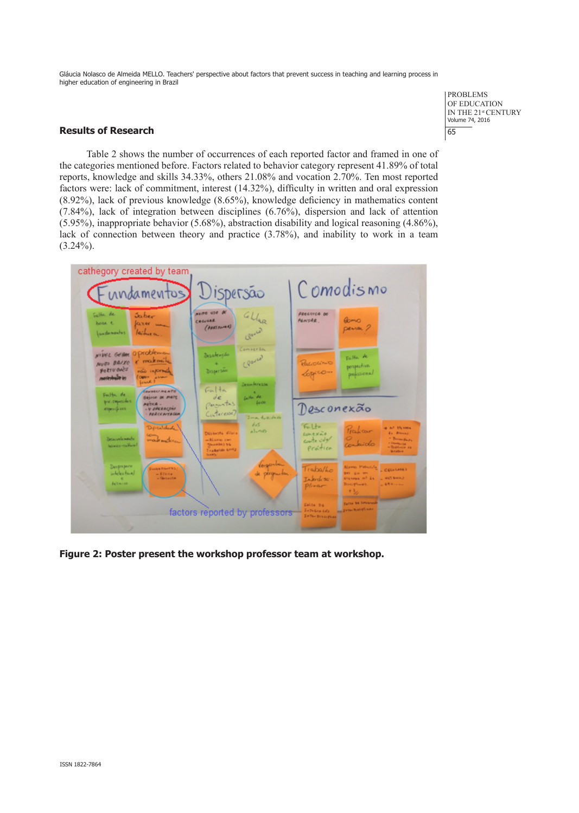> PROBLEMS OF EDUCATION IN THE 21st CENTURY<br>Volume 74, 2016 65

# **Results of Research**

Table 2 shows the number of occurrences of each reported factor and framed in one of the categories mentioned before. Factors related to behavior category represent 41.89% of total reports, knowledge and skills 34.33%, others 21.08% and vocation 2.70%. Ten most reported factors were: lack of commitment, interest (14.32%), difficulty in written and oral expression (8.92%), lack of previous knowledge (8.65%), knowledge deficiency in mathematics content (7.84%), lack of integration between disciplines (6.76%), dispersion and lack of attention (5.95%), inappropriate behavior (5.68%), abstraction disability and logical reasoning (4.86%), lack of connection between theory and practice (3.78%), and inability to work in a team  $(3.24\%)$ .



**Figure 2: Poster present the workshop professor team at workshop.**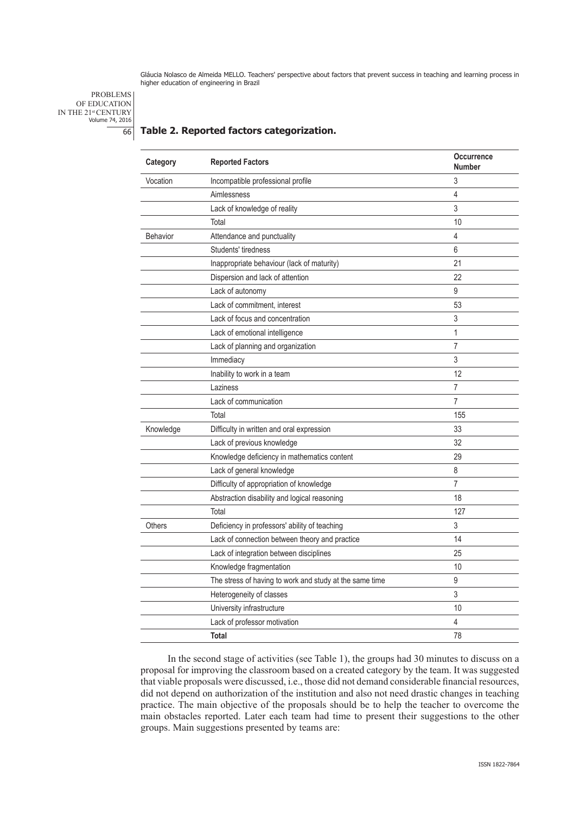PROBLEMS OF EDUCATION IN THE 21<sup>st</sup> CENTURY<br>Volume 74, 2016 66

# **Table 2. Reported factors categorization.**

| Category        | <b>Reported Factors</b>                                 | Occurrence<br>Number |
|-----------------|---------------------------------------------------------|----------------------|
| Vocation        | Incompatible professional profile                       | 3                    |
|                 | Aimlessness                                             | 4                    |
|                 | Lack of knowledge of reality                            | 3                    |
|                 | Total                                                   | 10                   |
| <b>Behavior</b> | Attendance and punctuality                              | 4                    |
|                 | Students' tiredness                                     | 6                    |
|                 | Inappropriate behaviour (lack of maturity)              | 21                   |
|                 | Dispersion and lack of attention                        | 22                   |
|                 | Lack of autonomy                                        | 9                    |
|                 | Lack of commitment, interest                            | 53                   |
|                 | Lack of focus and concentration                         | 3                    |
|                 | Lack of emotional intelligence                          | 1                    |
|                 | Lack of planning and organization                       | 7                    |
|                 | Immediacy                                               | 3                    |
|                 | Inability to work in a team                             | 12                   |
|                 | Laziness                                                | 7                    |
|                 | Lack of communication                                   | 7                    |
|                 | Total                                                   | 155                  |
| Knowledge       | Difficulty in written and oral expression               | 33                   |
|                 | Lack of previous knowledge                              | 32                   |
|                 | Knowledge deficiency in mathematics content             | 29                   |
|                 | Lack of general knowledge                               | 8                    |
|                 | Difficulty of appropriation of knowledge                | 7                    |
|                 | Abstraction disability and logical reasoning            | 18                   |
|                 | Total                                                   | 127                  |
| <b>Others</b>   | Deficiency in professors' ability of teaching           | 3                    |
|                 | Lack of connection between theory and practice          | 14                   |
|                 | Lack of integration between disciplines                 | 25                   |
|                 | Knowledge fragmentation                                 | 10                   |
|                 | The stress of having to work and study at the same time | 9                    |
|                 | Heterogeneity of classes                                | 3                    |
|                 | University infrastructure                               | 10                   |
|                 | Lack of professor motivation                            | 4                    |
|                 | Total                                                   | 78                   |

In the second stage of activities (see Table 1), the groups had 30 minutes to discuss on a proposal for improving the classroom based on a created category by the team. It was suggested that viable proposals were discussed, i.e., those did not demand considerable financial resources, did not depend on authorization of the institution and also not need drastic changes in teaching practice. The main objective of the proposals should be to help the teacher to overcome the main obstacles reported. Later each team had time to present their suggestions to the other groups. Main suggestions presented by teams are: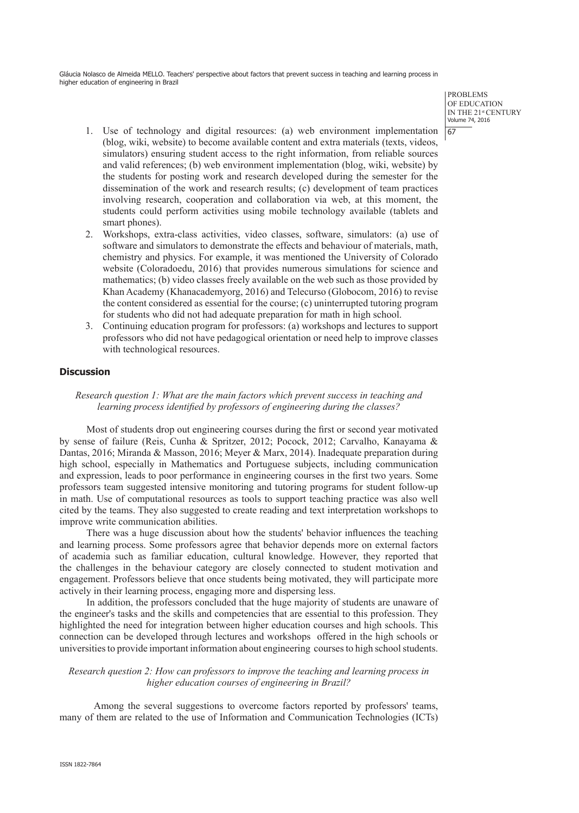> PROBLEMS OF EDUCATION IN THE 21st CENTURY Volume 74, 2016 67

- 1. Use of technology and digital resources: (a) web environment implementation (blog, wiki, website) to become available content and extra materials (texts, videos, simulators) ensuring student access to the right information, from reliable sources and valid references; (b) web environment implementation (blog, wiki, website) by the students for posting work and research developed during the semester for the dissemination of the work and research results; (c) development of team practices involving research, cooperation and collaboration via web, at this moment, the students could perform activities using mobile technology available (tablets and smart phones).
- 2. Workshops, extra-class activities, video classes, software, simulators: (a) use of software and simulators to demonstrate the effects and behaviour of materials, math, chemistry and physics. For example, it was mentioned the University of Colorado website (Coloradoedu, 2016) that provides numerous simulations for science and mathematics; (b) video classes freely available on the web such as those provided by Khan Academy (Khanacademyorg, 2016) and Telecurso (Globocom, 2016) to revise the content considered as essential for the course; (c) uninterrupted tutoring program for students who did not had adequate preparation for math in high school.
- 3. Continuing education program for professors: (a) workshops and lectures to support professors who did not have pedagogical orientation or need help to improve classes with technological resources.

# **Discussion**

## *Research question 1: What are the main factors which prevent success in teaching and learning process identified by professors of engineering during the classes?*

Most of students drop out engineering courses during the first or second year motivated by sense of failure (Reis, Cunha & Spritzer, 2012; Pocock, 2012; Carvalho, Kanayama & Dantas, 2016; Miranda & Masson, 2016; Meyer & Marx, 2014). Inadequate preparation during high school, especially in Mathematics and Portuguese subjects, including communication and expression, leads to poor performance in engineering courses in the first two years. Some professors team suggested intensive monitoring and tutoring programs for student follow-up in math. Use of computational resources as tools to support teaching practice was also well cited by the teams. They also suggested to create reading and text interpretation workshops to improve write communication abilities.

There was a huge discussion about how the students' behavior influences the teaching and learning process. Some professors agree that behavior depends more on external factors of academia such as familiar education, cultural knowledge. However, they reported that the challenges in the behaviour category are closely connected to student motivation and engagement. Professors believe that once students being motivated, they will participate more actively in their learning process, engaging more and dispersing less.

In addition, the professors concluded that the huge majority of students are unaware of the engineer's tasks and the skills and competencies that are essential to this profession. They highlighted the need for integration between higher education courses and high schools. This connection can be developed through lectures and workshops offered in the high schools or universities to provide important information about engineering courses to high school students.

# *Research question 2: How can professors to improve the teaching and learning process in higher education courses of engineering in Brazil?*

Among the several suggestions to overcome factors reported by professors' teams, many of them are related to the use of Information and Communication Technologies (ICTs)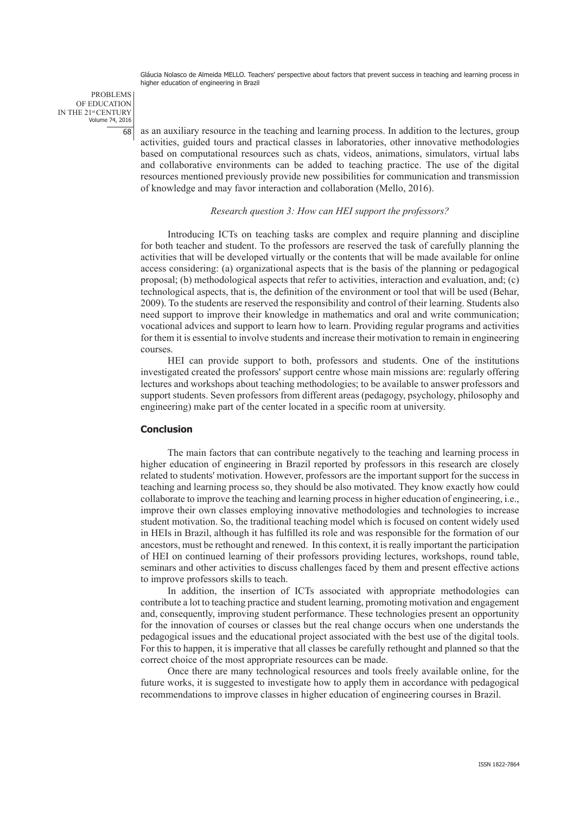PROBLEMS OF EDUCATION IN THE 21<sup>st</sup> CENTURY<br>Volume 74, 2016 68

as an auxiliary resource in the teaching and learning process. In addition to the lectures, group activities, guided tours and practical classes in laboratories, other innovative methodologies based on computational resources such as chats, videos, animations, simulators, virtual labs and collaborative environments can be added to teaching practice. The use of the digital resources mentioned previously provide new possibilities for communication and transmission of knowledge and may favor interaction and collaboration (Mello, 2016).

#### *Research question 3: How can HEI support the professors?*

Introducing ICTs on teaching tasks are complex and require planning and discipline for both teacher and student. To the professors are reserved the task of carefully planning the activities that will be developed virtually or the contents that will be made available for online access considering: (a) organizational aspects that is the basis of the planning or pedagogical proposal; (b) methodological aspects that refer to activities, interaction and evaluation, and; (c) technological aspects, that is, the definition of the environment or tool that will be used (Behar, 2009). To the students are reserved the responsibility and control of their learning. Students also need support to improve their knowledge in mathematics and oral and write communication; vocational advices and support to learn how to learn. Providing regular programs and activities for them it is essential to involve students and increase their motivation to remain in engineering courses.

HEI can provide support to both, professors and students. One of the institutions investigated created the professors' support centre whose main missions are: regularly offering lectures and workshops about teaching methodologies; to be available to answer professors and support students. Seven professors from different areas (pedagogy, psychology, philosophy and engineering) make part of the center located in a specific room at university.

# **Conclusion**

The main factors that can contribute negatively to the teaching and learning process in higher education of engineering in Brazil reported by professors in this research are closely related to students' motivation. However, professors are the important support for the success in teaching and learning process so, they should be also motivated. They know exactly how could collaborate to improve the teaching and learning process in higher education of engineering, i.e., improve their own classes employing innovative methodologies and technologies to increase student motivation. So, the traditional teaching model which is focused on content widely used in HEIs in Brazil, although it has fulfilled its role and was responsible for the formation of our ancestors, must be rethought and renewed. In this context, it is really important the participation of HEI on continued learning of their professors providing lectures, workshops, round table, seminars and other activities to discuss challenges faced by them and present effective actions to improve professors skills to teach.

In addition, the insertion of ICTs associated with appropriate methodologies can contribute a lot to teaching practice and student learning, promoting motivation and engagement and, consequently, improving student performance. These technologies present an opportunity for the innovation of courses or classes but the real change occurs when one understands the pedagogical issues and the educational project associated with the best use of the digital tools. For this to happen, it is imperative that all classes be carefully rethought and planned so that the correct choice of the most appropriate resources can be made.

Once there are many technological resources and tools freely available online, for the future works, it is suggested to investigate how to apply them in accordance with pedagogical recommendations to improve classes in higher education of engineering courses in Brazil.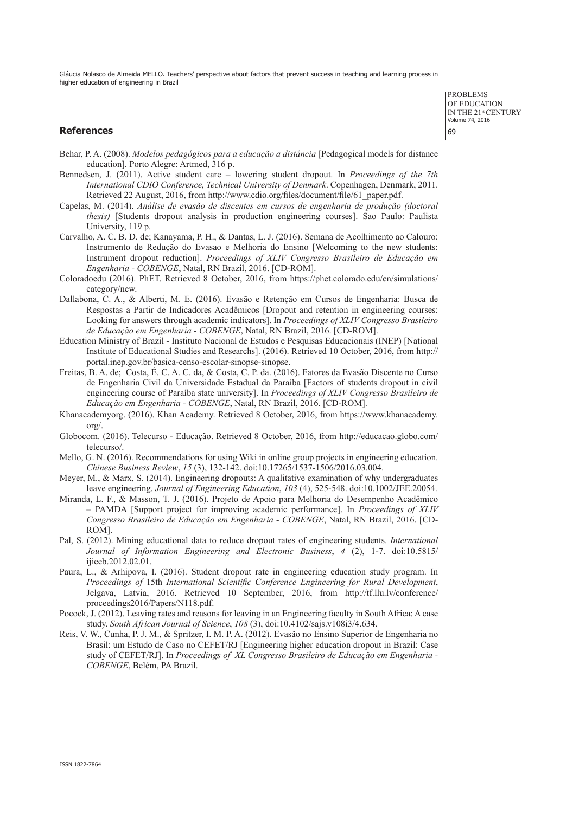# **References**

PROBLEMS OF EDUCATION IN THE 21st CENTURY<br>Volume 74, 2016 69

- Behar, P. A. (2008). *Modelos pedagógicos para a educação a distância* [Pedagogical models for distance education]. Porto Alegre: Artmed, 316 p.
- Bennedsen, J. (2011). Active student care lowering student dropout. In *Proceedings of the 7th International CDIO Conference, Technical University of Denmark*. Copenhagen, Denmark, 2011. Retrieved 22 August, 2016, from http://www.cdio.org/files/document/file/61\_paper.pdf.
- Capelas, M. (2014). *Análise de evasão de discentes em cursos de engenharia de produção (doctoral thesis)* [Students dropout analysis in production engineering courses]. Sao Paulo: Paulista University, 119 p.
- Carvalho, A. C. B. D. de; Kanayama, P. H., & Dantas, L. J. (2016). Semana de Acolhimento ao Calouro: Instrumento de Redução do Evasao e Melhoria do Ensino [Welcoming to the new students: Instrument dropout reduction]. *Proceedings of XLIV Congresso Brasileiro de Educação em Engenharia - COBENGE*, Natal, RN Brazil, 2016. [CD-ROM].
- Coloradoedu (2016). PhET. Retrieved 8 October, 2016, from https://phet.colorado.edu/en/simulations/ category/new.
- Dallabona, C. A., & Alberti, M. E. (2016). Evasão e Retenção em Cursos de Engenharia: Busca de Respostas a Partir de Indicadores Acadêmicos [Dropout and retention in engineering courses: Looking for answers through academic indicators]. In *Proceedings of XLIV Congresso Brasileiro de Educação em Engenharia - COBENGE*, Natal, RN Brazil, 2016. [CD-ROM].
- Education Ministry of Brazil Instituto Nacional de Estudos e Pesquisas Educacionais (INEP) [National Institute of Educational Studies and Researchs]. (2016). Retrieved 10 October, 2016, from http:// portal.inep.gov.br/basica-censo-escolar-sinopse-sinopse.
- Freitas, B. A. de; Costa, É. C. A. C. da, & Costa, C. P. da. (2016). Fatores da Evasão Discente no Curso de Engenharia Civil da Universidade Estadual da Paraíba [Factors of students dropout in civil engineering course of Paraíba state university]. In *Proceedings of XLIV Congresso Brasileiro de Educação em Engenharia - COBENGE*, Natal, RN Brazil, 2016. [CD-ROM].
- Khanacademyorg. (2016). Khan Academy. Retrieved 8 October, 2016, from https://www.khanacademy. org/.
- Globocom. (2016). Telecurso Educação. Retrieved 8 October, 2016, from http://educacao.globo.com/ telecurso/.
- Mello, G. N. (2016). Recommendations for using Wiki in online group projects in engineering education. *Chinese Business Review*, *15* (3), 132-142. doi:10.17265/1537-1506/2016.03.004.
- Meyer, M., & Marx, S. (2014). Engineering dropouts: A qualitative examination of why undergraduates leave engineering. *Journal of Engineering Education*, *103* (4), 525-548. doi:10.1002/JEE.20054.
- Miranda, L. F., & Masson, T. J. (2016). Projeto de Apoio para Melhoria do Desempenho Acadêmico – PAMDA [Support project for improving academic performance]. In *Proceedings of XLIV Congresso Brasileiro de Educação em Engenharia - COBENGE*, Natal, RN Brazil, 2016. [CD-ROM].
- Pal, S. (2012). Mining educational data to reduce dropout rates of engineering students. *International Journal of Information Engineering and Electronic Business*, *4* (2), 1-7. doi:10.5815/ iijeeb.2012.02.01.
- Paura, L., & Arhipova, I. (2016). Student dropout rate in engineering education study program. In *Proceedings of* 15th *International Scientific Conference Engineering for Rural Development*, Jelgava, Latvia, 2016. Retrieved 10 September, 2016, from http://tf.llu.lv/conference/ proceedings2016/Papers/N118.pdf.
- Pocock, J. (2012). Leaving rates and reasons for leaving in an Engineering faculty in South Africa: A case study. *South African Journal of Science*, *108* (3), doi:10.4102/sajs.v108i3/4.634.
- Reis, V. W., Cunha, P. J. M., & Spritzer, I. M. P. A. (2012). Evasão no Ensino Superior de Engenharia no Brasil: um Estudo de Caso no CEFET/RJ [Engineering higher education dropout in Brazil: Case study of CEFET/RJ]. In *Proceedings of XL Congresso Brasileiro de Educação em Engenharia - COBENGE*, Belém, PA Brazil.